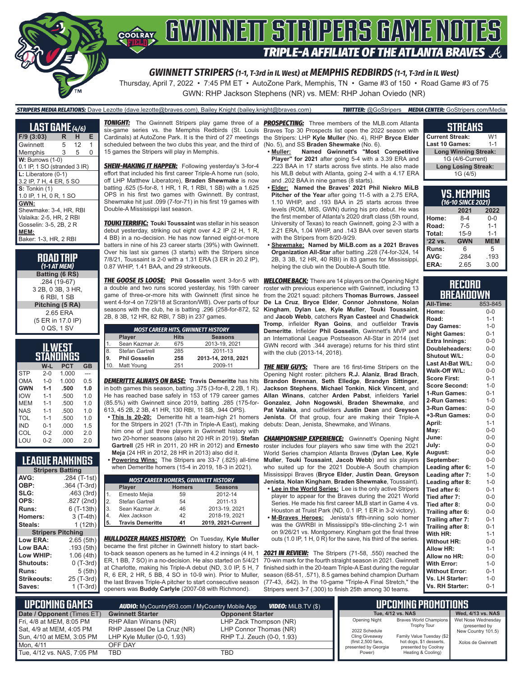

*GWINNETT STRIPERS (1-1, T-3rd in IL West) at MEMPHIS REDBIRDS (1-1, T-3rd in IL West)*

Thursday, April 7, 2022 • 7:45 PM ET • AutoZone Park, Memphis, TN • Game #3 of 150 • Road Game #3 of 75 GWN: RHP Jackson Stephens (NR) vs. MEM: RHP Johan Oviedo (NR)

#### *STRIPERS MEDIA RELATIONS:* Dave Lezotte (dave.lezotte@braves.com), Bailey Knight (bailey.knight@braves.com) *TWITTER:* @GoStripers *MEDIA CENTER:* GoStripers.com/Media

**LAST GAME** *(4/6)* **F/9 (3:03) R H E** Gwinnett 5 12 1 Memphis 3 5 0 **W: Burrows (1-0)** 0.1 IP, 1 SO (stranded 3 IR) **L:** Liberatore (0-1) 3.2 IP, 7 H, 4 ER, 5 SO **S:** Tonkin (1) 1.0 IP, 1 H, 0 R, 1 SO **GWN:** Shewmake: 3-4, HR, RBI Valaika: 2-5, HR, 2 RBI Gosselin: 3-5, 2B, 2 R **MEM:** Baker: 1-3, HR, 2 RBI

**ROAD TRIP** *(1-1 AT MEM)* **Batting (6 RS)** .284 (19-67) 3 2B, 0 3B, 3 HR, 6 RBI, 1 SB **Pitching (5 RA)** 2.65 ERA (5 ER in 17.0 IP) 0 QS, 1 SV

| WEST<br>STANDINGS                |         |       |                |  |  |  |  |  |
|----------------------------------|---------|-------|----------------|--|--|--|--|--|
| $W-L$<br><b>PCT</b><br><b>GB</b> |         |       |                |  |  |  |  |  |
| <b>STP</b>                       | $2 - 0$ | 1.000 |                |  |  |  |  |  |
| OMA                              | $1 - 0$ | 1.000 | 0.5            |  |  |  |  |  |
| <b>GWN</b>                       | $1 - 1$ | .500  | 1.0            |  |  |  |  |  |
| <b>IOW</b>                       | $1 - 1$ | .500  | 1.0            |  |  |  |  |  |
| MFM                              | $1 - 1$ | .500  | 1 <sub>0</sub> |  |  |  |  |  |
| NAS                              | $1 - 1$ | 500   | 1.0            |  |  |  |  |  |
| TOL                              | $1 - 1$ | .500  | 1.0            |  |  |  |  |  |
| IND                              | $0 - 1$ | .000  | 1.5            |  |  |  |  |  |
| COL                              | $0 - 2$ | .000  | 2.0            |  |  |  |  |  |
| I OU                             | $0 - 2$ | റററ   | 2 በ            |  |  |  |  |  |

### **LEAGUE RANKINGS**

|                          | <b>Stripers Batting</b> |  |  |  |  |  |  |
|--------------------------|-------------------------|--|--|--|--|--|--|
| AVG:                     | .284 (T-1st)            |  |  |  |  |  |  |
| OBP:                     | .364 (T-3rd)            |  |  |  |  |  |  |
| SLG:                     | .463 (3rd)              |  |  |  |  |  |  |
| OPS:                     | .827 (2nd)              |  |  |  |  |  |  |
| <b>Runs:</b>             | 6 (T-13th)              |  |  |  |  |  |  |
| <b>Homers:</b>           | 3 (T-4th)               |  |  |  |  |  |  |
| Steals:                  | 1 $(12th)$              |  |  |  |  |  |  |
| <b>Stripers Pitching</b> |                         |  |  |  |  |  |  |
| <b>Low ERA:</b>          | 2.65(5th)               |  |  |  |  |  |  |
| Low BAA:                 | .193(5th)               |  |  |  |  |  |  |
| Low WHIP:                | 1.06(4th)               |  |  |  |  |  |  |
| <b>Shutouts:</b>         | 0 (T-3rd)               |  |  |  |  |  |  |
| Runs:                    | 5(5th)                  |  |  |  |  |  |  |
| Strikeouts:              | 25 (T-3rd)              |  |  |  |  |  |  |
| Saves:                   | 1 (T-3rd)               |  |  |  |  |  |  |

scheduled between the two clubs this year, and the third of 15 games the Stripers will play in Memphis.

**SHEW-MAKING IT HAPPEN:** Following yesterday's 3-for-4 effort that included his first career Triple-A home run (solo, off LHP Matthew Liberatore), **Braden Shewmake** is now batting .625 (5-for-8, 1 HR, 1 R, 1 RBI, 1 SB) with a 1.625 OPS in his first two games with Gwinnett. By contrast, Shewmake hit just .099 (7-for-71) in his first 19 games with Double-A Mississippi last season.

*TOUKI TERRIFIC:* **Touki Toussaint** was stellar in his season debut yesterday, striking out eight over 4.2 IP (2 H, 1 R, 4 BB) in a no-decision. He has now fanned eight-or-more batters in nine of his 23 career starts (39%) with Gwinnett. Over his last six games (3 starts) with the Stripers since 7/8/21, Toussaint is 2-0 with a 1.31 ERA (3 ER in 20.2 IP), 0.87 WHIP, 1.41 BAA, and 29 strikeouts.

*THE GOOSE IS LOOSE:* **Phil Gosselin** went 3-for-5 with a double and two runs scored yesterday, his 19th career game of three-or-more hits with Gwinnett (first since he went 4-for-4 on 7/29/18 at Scranton/WB). Over parts of four seasons with the club, he is batting .296 (258-for-872, 52 2B, 8 3B, 12 HR, 82 RBI, 7 SB) in 237 games.

|                                        | <b>MOST CAREER HITS, GWINNETT HISTORY</b> |     |                     |  |  |  |  |  |  |
|----------------------------------------|-------------------------------------------|-----|---------------------|--|--|--|--|--|--|
|                                        | <b>Hits</b><br><b>Seasons</b><br>Player   |     |                     |  |  |  |  |  |  |
|                                        | Sean Kazmar Jr.                           | 675 | 2013-19, 2021       |  |  |  |  |  |  |
| $\begin{bmatrix} 8 \\ 9 \end{bmatrix}$ | Stefan Gartrell                           | 285 | 2011-13             |  |  |  |  |  |  |
|                                        | <b>Phil Gosselin</b>                      | 258 | 2013-14. 2018. 2021 |  |  |  |  |  |  |
| 10                                     | Matt Young                                | 251 | 2009-11             |  |  |  |  |  |  |

*DEMERITTE ALWAYS ON BASE:* **Travis Demeritte** has hits in both games this season, batting .375 (3-for-8, 2 2B, 1 R). He has reached base safely in 153 of 179 career games (85.5%) with Gwinnett since 2019, batting .285 (175-for-613, 45 2B, 2 3B, 41 HR, 130 RBI, 11 SB, .944 OPS).

- **• This Is 20-20:** Demeritte hit a team-high 21 homers for the Stripers in 2021 (T-7th in Triple-A East), making him one of just three players in Gwinnett history with two 20-homer seasons (also hit 20 HR in 2019). **Stefan Gartrell** (25 HR in 2011, 20 HR in 2012) and **Ernesto Meja** (24 HR in 2012, 28 HR in 2013) also did it.
- **• Powering Wins:** The Stripers are 33-7 (.825) all-time when Demeritte homers (15-4 in 2019, 18-3 in 2021).

|                | <b>MOST CAREER HOMERS, GWINNETT HISTORY</b> |    |                    |  |  |  |  |  |  |  |
|----------------|---------------------------------------------|----|--------------------|--|--|--|--|--|--|--|
|                | <b>Seasons</b><br><b>Homers</b><br>Player   |    |                    |  |  |  |  |  |  |  |
| 1 <sub>1</sub> | Ernesto Mejia                               | 59 | 2012-14            |  |  |  |  |  |  |  |
| $\mathcal{P}$  | Stefan Gartrell                             | 54 | 2011-13            |  |  |  |  |  |  |  |
| 3.             | Sean Kazmar Jr.                             | 46 | 2013-19, 2021      |  |  |  |  |  |  |  |
| 4.             | Alex Jackson                                | 42 | 2018-19, 2021      |  |  |  |  |  |  |  |
| 5.             | <b>Travis Demeritte</b>                     | 41 | 2019, 2021-Current |  |  |  |  |  |  |  |

*MULLDOZER MAKES HISTORY:* On Tuesday, **Kyle Muller** became the first pitcher in Gwinnett history to start backto-back season openers as he turned in 4.2 innings (4 H, 1 ER, 1 BB, 7 SO) in a no-decision. He also started on 5/4/21 at Charlotte, making his Triple-A debut (ND, 3.0 IP, 5 H, 7 R, 6 ER, 2 HR, 5 BB, 4 SO in 10-9 win). Prior to Muller, the last Braves Triple-A pitcher to start consecutive season openers was **Buddy Carlyle** (2007-08 with Richmond).

*TONIGHT:* The Gwinnett Stripers play game three of a *PROSPECTING:* Three members of the MLB.com Atlanta six-game series vs. the Memphis Redbirds (St. Louis Braves Top 30 Prospects list open the 2022 season with Cardinals) at AutoZone Park. It is the third of 27 meetings the Stripers: LHP **Kyle Muller** (No. 4), RHP **Bryce Elder** (No. 5), and SS **Braden Shewmake** (No. 6).

- **• Muller: Named Gwinnett's "Most Competitive Player" for 2021** after going 5-4 with a 3.39 ERA and .223 BAA in 17 starts across five stints. He also made his MLB debut with Atlanta, going 2-4 with a 4.17 ERA and .202 BAA in nine games (8 starts).
- **• Elder: Named the Braves' 2021 Phil Niekro MiLB Pitcher of the Year** after going 11-5 with a 2.75 ERA, 1.10 WHIP, and .193 BAA in 25 starts across three levels (ROM, MIS, GWN) during his pro debut. He was the first member of Atlanta's 2020 draft class (5th round, University of Texas) to reach Gwinnett, going 2-3 with a 2.21 ERA, 1.04 WHIP, and .143 BAA over seven starts with the Stripers from 8/20-9/29.
- **• Shewmake: Named by MiLB.com as a 2021 Braves Organization All-Star** after batting .228 (74-for-324, 14 2B, 3 3B, 12 HR, 40 RBI) in 83 games for Mississippi, helping the club win the Double-A South title.

*WELCOME BACK:* There are 14 players on the Opening Night roster with previous experience with Gwinnett, including 13 from the 2021 squad: pitchers **Thomas Burrows**, **Jasseel De La Cruz**, **Bryce Elder**, **Connor Johnstone**, **Nolan Kingham**, **Dylan Lee**, **Kyle Muller**, **Touki Toussaint**, and **Jacob Webb**, catchers **Ryan Casteel** and **Chadwick Tromp**, infielder **Ryan Goins**, and outfielder **Travis Demeritte**. Infielder **Phil Gosselin**, Gwinnett's MVP and an International League Postseason All-Star in 2014 (set GWN record with .344 average) returns for his third stint with the club (2013-14, 2018).

**THE NEW GUYS:** There are 16 first-time Stripers on the Opening Night roster: pitchers **R.J. Alaniz**, **Brad Brach**, **Brandon Brennan**, **Seth Elledge**, **Brandyn Sittinger**, **Jackson Stephens**, **Michael Tonkin**, **Nick Vincent**, and **Allan Winans**, catcher **Arden Pabst**, infielders **Yariel Gonzalez**, **John Nogowski**, **Braden Shewmake**, and **Pat Valaika**, and outfielders **Justin Dean** and **Greyson Jenista**. Of that group, four are making their Triple-A debuts: Dean, Jenista, Shewmake, and Winans.

**CHAMPIONSHIP EXPERIENCE:** Gwinnett's Opening Night roster includes four players who saw time with the 2021 World Series champion Atlanta Braves (**Dylan Lee**, **Kyle Muller**, **Touki Toussaint**, **Jacob Webb**) and six players who suited up for the 2021 Double-A South champion Mississippi Braves (**Bryce Elder**, **Justin Dean**, **Greyson Jenista**, **Nolan Kingham**, **Braden Shewmake**, Toussaint).

- **• Lee in the World Series:** Lee is the only active Stripers player to appear for the Braves during the 2021 World Series. He made his first career MLB start in Game 4 vs. Houston at Truist Park (ND, 0.1 IP, 1 ER in 3-2 victory).
- **• M-Braves Heroes:** Jenista's fifth-inning solo homer was the GWRBI in Mississippi's title-clinching 2-1 win on 9/26/21 vs. Montgomery. Kingham got the final three outs (1.0 IP, 1 H, 0 R) for the save, his third of the series.

*2021 IN REVIEW:* The Stripers (71-58, .550) reached the 70-win mark for the fourth straight season in 2021. Gwinnett finished sixth in the 20-team Triple-A East during the regular season (68-51, .571), 8.5 games behind champion Durham (77-43, .642). In the 10-game "Triple-A Final Stretch," the Stripers went 3-7 (.300) to finish 25th among 30 teams.

#### **STREAKS Current Streak:** W1<br>Last 10 Games: 1-1 **Last 10 Games: Long Winning Streak:** 1G (4/6-Current) **Long Losing Streak:** 1G (4/5)

| VS.MEMPHIS<br>(16-10 SINCE 2021) |            |            |  |  |  |  |  |  |
|----------------------------------|------------|------------|--|--|--|--|--|--|
| 2021<br>2022                     |            |            |  |  |  |  |  |  |
| Home:                            | $8-4$      | $0 - 0$    |  |  |  |  |  |  |
| Road:                            | $7 - 5$    | $1 - 1$    |  |  |  |  |  |  |
| Total:                           | $15-9$     | $1 - 1$    |  |  |  |  |  |  |
| '22 vs.                          | <b>GWN</b> | <b>MEM</b> |  |  |  |  |  |  |
| Runs:                            | 6          | 5          |  |  |  |  |  |  |
| AVG:                             | .284       | .193       |  |  |  |  |  |  |
| ERA:                             | 2.65       | 3.00       |  |  |  |  |  |  |

#### **RECORD BREAKDOWN**

| All-Time:             | 853-845 |
|-----------------------|---------|
| Home:                 | $0-0$   |
| Road:                 | $1 - 1$ |
| Day Games:            | $1 - 0$ |
| <b>Night Games:</b>   | $0 - 1$ |
| <b>Extra Innings:</b> | $0-0$   |
| Doubleheaders:        | $0-0$   |
| Shutout W/L:          | $0-0$   |
| Last At-Bat W/L:      | $0-0$   |
| Walk-Off W/L:         | $0-0$   |
| <b>Score First:</b>   | $0 - 1$ |
| <b>Score Second:</b>  | $1 - 0$ |
| 1-Run Games:          | $0 - 1$ |
| 2-Run Games:          | $1 - 0$ |
| 3-Run Games:          | $0-0$   |
| +3-Run Games:         | $0 - 0$ |
| April:                | $1 - 1$ |
| May:                  | $0 - 0$ |
| June:                 | $0 - 0$ |
| July:                 | $0-0$   |
| August:               | $0-0$   |
| September:            | $0-0$   |
| Leading after 6:      | $1 - 0$ |
| Leading after 7:      | $1 - 0$ |
| Leading after 8:      | $1 - 0$ |
| Tied after 6:         | $0 - 1$ |
| Tied after 7:         | $0-0$   |
| Tied after 8:         | $0 - 0$ |
| Trailing after 6:     | $0 - 0$ |
| Trailing after 7:     | $0 - 1$ |
| Trailing after 8:     | $0 - 1$ |
| With HR:              | $1 - 1$ |
| <b>Without HR:</b>    | $0 - 0$ |
| <b>Allow HR:</b>      | $1 - 1$ |
| Allow no HR:          | $0-0$   |
| <b>With Error:</b>    | $1 - 0$ |
| <b>Without Error:</b> | $0 - 1$ |
| Vs. LH Starter:       | $1 - 0$ |
| Vs. RH Starter:       | $0 - 1$ |

| L UPCOMING GAMES I         | <b>AUDIO:</b> MyCountry993.com / MyCountry Mobile App |                            |  | I UPCOMING PROMOTIONS !                    |                                                 |                                     |
|----------------------------|-------------------------------------------------------|----------------------------|--|--------------------------------------------|-------------------------------------------------|-------------------------------------|
| Date / Opponent (Times ET) | <b>Gwinnett Starter</b>                               | <b>Opponent Starter</b>    |  |                                            | Tue, 4/12 vs. NAS                               | Wed. 4/13 vs. NAS                   |
| Fri. 4/8 at MEM, 8:05 PM   | RHP Allan Winans (NR)                                 | LHP Zack Thompson (NR)     |  | <b>Opening Night</b>                       | Braves World Champions<br><b>Trophy Tour</b>    | Wet Nose Wednesday<br>(presented by |
| Sat, 4/9 at MEM, 4:05 PM   | RHP Jasseel De La Cruz (NR)                           | LHP Connor Thomas (NR)     |  | 2022 Schedule                              |                                                 | New Country 101.5)                  |
| Sun, 4/10 at MEM, 3:05 PM  | LHP Kyle Muller $(0-0, 1.93)$                         | RHP T.J. Zeuch (0-0, 1.93) |  | Cling Giveaway                             | Family Value Tuesday (\$2                       |                                     |
| Mon. 4/11                  | OFF DAY                                               |                            |  | (first 2,500 fans,<br>presented by Georgia | hot dogs, \$1 desserts,<br>presented by Coolray | Xolos de Gwinnett                   |
| Tue, 4/12 vs. NAS, 7:05 PM | <b>TBD</b>                                            | TBD                        |  | Power)                                     | Heating & Cooling)                              |                                     |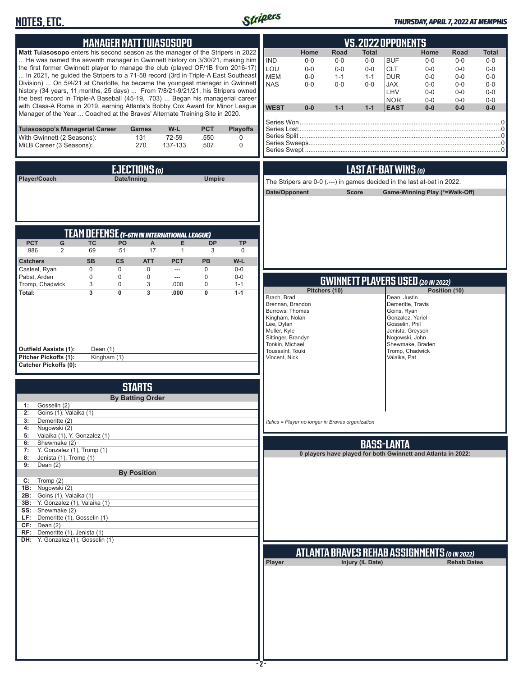# **NOTES, ETC.**



### *THURSDAY, APRIL 7, 2022 AT MEMPHIS*

| <b>MANAGER MATT TUIASOSOPO</b><br><b>VS.2022 OPPONENTS</b><br>Matt Tuiasosopo enters his second season as the manager of the Stripers in 2022<br>Home<br><b>Road</b><br><b>Total</b><br>He was named the seventh manager in Gwinnett history on 3/30/21, making him<br><b>IND</b><br><b>BUF</b><br>$0-0$<br>$0-0$<br>$0-0$<br>the first former Gwinnett player to manage the club (played OF/1B from 2016-17)<br>LOU<br>$0-0$<br>$0-0$<br><b>CLT</b><br>$0-0$<br>In 2021, he quided the Stripers to a 71-58 record (3rd in Triple-A East Southeast<br><b>MEM</b><br>$1 - 1$<br><b>DUR</b><br>$0-0$<br>$1 - 1$<br>Division)  On 5/4/21 at Charlotte, he became the youngest manager in Gwinnett<br><b>NAS</b><br>$0-0$<br><b>JAX</b><br>$0-0$<br>$0-0$                                                                                                          | Home<br><b>Road</b><br><b>Total</b><br>$0-0$<br>$0-0$<br>$0-0$<br>$0-0$<br>$0-0$<br>$0-0$                                                   |
|----------------------------------------------------------------------------------------------------------------------------------------------------------------------------------------------------------------------------------------------------------------------------------------------------------------------------------------------------------------------------------------------------------------------------------------------------------------------------------------------------------------------------------------------------------------------------------------------------------------------------------------------------------------------------------------------------------------------------------------------------------------------------------------------------------------------------------------------------------------|---------------------------------------------------------------------------------------------------------------------------------------------|
| history (34 years, 11 months, 25 days)  From 7/8/21-9/21/21, his Stripers owned<br>LHV<br>the best record in Triple-A Baseball (45-19, .703)  Began his managerial career<br><b>NOR</b><br>with Class-A Rome in 2019, earning Atlanta's Bobby Cox Award for Minor League<br><b>WEST</b><br>$0-0$<br>$1 - 1$<br>$1 - 1$<br><b>EAST</b><br>Manager of the Year  Coached at the Braves' Alternate Training Site in 2020.                                                                                                                                                                                                                                                                                                                                                                                                                                          | $0 - 0$<br>$0-0$<br>$0-0$<br>$0-0$<br>$0 - 0$<br>$0-0$<br>$0 - 0$<br>$0-0$<br>$0-0$<br>$0 - 0$<br>$0-0$<br>$0-0$<br>$0-0$<br>$0-0$<br>$0-0$ |
| W-L<br><b>PCT</b><br>Tuiasosopo's Managerial Career<br><b>Playoffs</b><br>Games<br>With Gwinnett (2 Seasons):<br>131<br>72-59<br>.550<br>$\mathbf 0$<br>270<br>MiLB Career (3 Seasons):<br>.507<br>$\mathbf 0$<br>137-133                                                                                                                                                                                                                                                                                                                                                                                                                                                                                                                                                                                                                                      |                                                                                                                                             |
| LAST AT-BAT WINS (0)<br>EJECTIONS (0)<br>Player/Coach<br>Date/Inning<br><b>Umpire</b><br>The Stripers are 0-0 (.---) in games decided in the last at-bat in 2022.<br>Date/Opponent<br><b>Score</b><br>Game-Winning Play (*=Walk-Off)                                                                                                                                                                                                                                                                                                                                                                                                                                                                                                                                                                                                                           |                                                                                                                                             |
| <b>TEAM DEFENSE (T-6TH IN INTERNATIONAL LEAGUE)</b><br><b>PCT</b><br>PO<br>G<br>TC<br>A<br>Е<br><b>DP</b><br><b>TP</b><br>2<br>.986<br>69<br>17<br>51<br>$\mathbf{1}$<br>3<br>0<br><b>SB</b><br>$\mathsf{cs}$<br><b>ATT</b><br><b>PCT</b><br><b>PB</b><br>W-L<br><b>Catchers</b><br>$\Omega$<br>Casteel, Ryan<br>$\mathbf 0$<br>$\mathbf 0$<br>$\mathbf 0$<br>$0-0$<br>$---$                                                                                                                                                                                                                                                                                                                                                                                                                                                                                   |                                                                                                                                             |
| Pabst, Arden<br>$\mathbf 0$<br>$\mathbf 0$<br>$\mathbf 0$<br>$0-0$<br>$\mathbf 0$<br>$\overline{\phantom{a}}$<br><b>GWINNETT PLAYERS USED (20 IN 2022)</b><br>Tromp, Chadwick<br>3<br>$\mathbf 0$<br>3<br>.000<br>$\mathbf 0$<br>$1 - 1$<br>Pitchers (10)<br>$\overline{3}$<br>$\overline{\mathbf{3}}$<br>Total:<br>$\Omega$<br>.000<br>$\mathbf{0}$<br>$1 - 1$<br>Brach, Brad<br>Dean, Justin<br>Brennan, Brandon<br>Demeritte, Travis<br>Burrows, Thomas<br>Goins, Ryan<br>Kingham, Nolan<br>Gonzalez, Yariel<br>Lee, Dylan<br>Gosselin, Phil<br>Muller, Kyle<br>Jenista, Greyson<br>Sittinger, Brandyn<br>Nogowski, John<br>Tonkin, Michael<br>Shewmake, Braden<br><b>Outfield Assists (1):</b><br>Dean (1)<br>Toussaint, Touki<br>Tromp, Chadwick<br>Pitcher Pickoffs (1):<br>Kingham (1)<br>Valaika, Pat<br>Vincent, Nick<br><b>Catcher Pickoffs (0):</b> | Position (10)                                                                                                                               |
| <b>STARTS</b><br><b>By Batting Order</b><br>Gosselin (2)<br>1:<br>2:<br>Goins (1), Valaika (1)<br>3:<br>Demeritte (2)<br>Italics = Player no longer in Braves organization<br>Nogowski (2)<br>4:                                                                                                                                                                                                                                                                                                                                                                                                                                                                                                                                                                                                                                                               |                                                                                                                                             |
| Valaika (1), Y. Gonzalez (1)<br>5:<br>Shewmake (2)<br>6:<br><b>BASS-LANTA</b><br>Y. Gonzalez (1), Tromp (1)<br>7:<br>0 players have played for both Gwinnett and Atlanta in 2022:<br>Jenista (1), Tromp (1)<br>8:<br>Dean $(2)$<br>9:                                                                                                                                                                                                                                                                                                                                                                                                                                                                                                                                                                                                                          |                                                                                                                                             |
| <b>By Position</b><br>Tromp $(2)$<br>C:<br>Nogowski (2)<br>1B:<br>2B: Goins (1), Valaika (1)<br>3B: Y. Gonzalez (1), Valaika (1)<br><b>SS:</b> Shewmake (2)<br>LF: Demeritte (1), Gosselin (1)<br>CF: Dean(2)<br>RF: Demeritte (1), Jenista (1)<br>DH: Y. Gonzalez (1), Gosselin (1)<br><b>ATLANTA BRAVES REHAB ASSIGNMENTS (O IN 2022)</b><br>Player<br>Injury (IL Date)                                                                                                                                                                                                                                                                                                                                                                                                                                                                                      | <b>Rehab Dates</b>                                                                                                                          |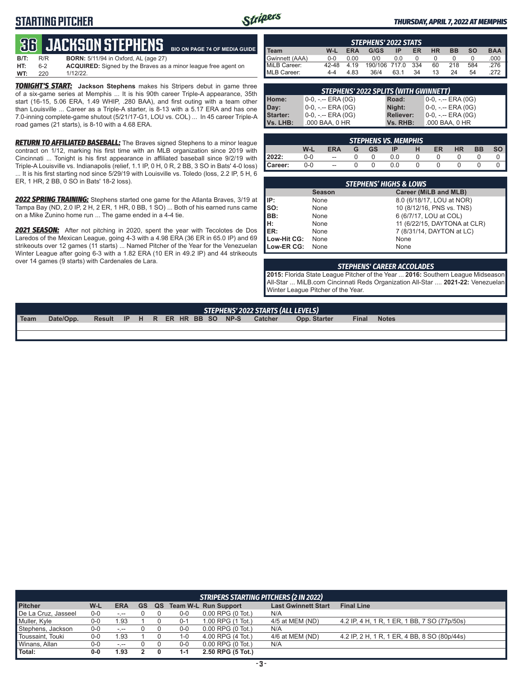### **STARTING PITCHER**



#### *THURSDAY, APRIL 7, 2022 AT MEMPHIS*

#### **36****JACKSON STEPHENS BIO ON PAGE 74 OF MEDIA GUIDE**

| B/T: | R/R | <b>BORN:</b> 5/11/94 in Oxford, AL (age 27)                           |
|------|-----|-----------------------------------------------------------------------|
| HT:  | հ-2 | <b>ACQUIRED:</b> Signed by the Braves as a minor league free agent on |
| WT:  | 220 | $1/12/22$ .                                                           |

*TONIGHT'S START:* **Jackson Stephens** makes his Stripers debut in game three of a six-game series at Memphis ... It is his 90th career Triple-A appearance, 35th start (16-15, 5.06 ERA, 1.49 WHIP, .280 BAA), and first outing with a team other than Louisville ... Career as a Triple-A starter, is 8-13 with a 5.17 ERA and has one 7.0-inning complete-game shutout (5/21/17-G1, LOU vs. COL) ... In 45 career Triple-A road games (21 starts), is 8-10 with a 4.68 ERA.

*RETURN TO AFFILIATED BASEBALL:* The Braves signed Stephens to a minor league contract on 1/12, marking his first time with an MLB organization since 2019 with Cincinnati ... Tonight is his first appearance in affiliated baseball since 9/2/19 with Triple-A Louisville vs. Indianapolis (relief, 1.1 IP, 0 H, 0 R, 2 BB, 3 SO in Bats' 4-0 loss) ... It is his first starting nod since 5/29/19 with Louisville vs. Toledo (loss, 2.2 IP, 5 H, 6 ER, 1 HR, 2 BB, 0 SO in Bats' 18-2 loss).

*2022 SPRING TRAINING:* Stephens started one game for the Atlanta Braves, 3/19 at Tampa Bay (ND, 2.0 IP, 2 H, 2 ER, 1 HR, 0 BB, 1 SO) ... Both of his earned runs came on a Mike Zunino home run ... The game ended in a 4-4 tie.

*2021 SEASON:* After not pitching in 2020, spent the year with Tecolotes de Dos Laredos of the Mexican League, going 4-3 with a 4.98 ERA (36 ER in 65.0 IP) and 69 strikeouts over 12 games (11 starts) ... Named Pitcher of the Year for the Venezuelan Winter League after going 6-3 with a 1.82 ERA (10 ER in 49.2 IP) and 44 strikeouts over 14 games (9 starts) with Cardenales de Lara.

| <b>STEPHENS' 2022 STATS</b> |                |              |                       |      |           |           |           |           |              |
|-----------------------------|----------------|--------------|-----------------------|------|-----------|-----------|-----------|-----------|--------------|
| <b>Team</b>                 | W-L            | <b>ERA</b>   | G/GS                  | ΙP   | ER        | <b>HR</b> | <b>BB</b> | <b>SO</b> | <b>BAA</b>   |
| Gwinnett (AAA)              | $0 - 0$        | 0.00         | 0/0                   | 0.0  |           |           |           |           | .000         |
| MiLB Career:<br>MLB Career: | 42-48<br>$4-4$ | 4.19<br>4.83 | 190/106 717.0<br>36/4 | 63.1 | 334<br>34 | 60<br>13  | 218<br>24 | 584<br>54 | .276<br>.272 |

| <b>STEPHENS' 2022 SPLITS (WITH GWINNETT)</b> |                       |                  |                    |  |  |  |  |  |
|----------------------------------------------|-----------------------|------------------|--------------------|--|--|--|--|--|
| Home:                                        | 0-0, -.-- ERA (0G)    | Road:            | 0-0, -.-- ERA (0G) |  |  |  |  |  |
| Day:                                         | $0-0, - -$ ERA (0G)   | Night:           | 0-0, -.-- ERA (0G) |  |  |  |  |  |
| Starter:                                     | $0-0, - -$ ERA $(0G)$ | <b>Reliever:</b> | 0-0, -.-- ERA (0G) |  |  |  |  |  |
| I Vs. LHB:                                   | .000 BAA, 0 HR        | Vs. RHB:         | .000 BAA, 0 HR     |  |  |  |  |  |

|         |         |                          |   |           | <b>STEPHENS VS. MEMPHIS</b> |   |    |           |           |    |
|---------|---------|--------------------------|---|-----------|-----------------------------|---|----|-----------|-----------|----|
|         | W-L     | <b>ERA</b>               | G | <b>GS</b> | ΙP                          | н | ER | <b>HR</b> | <b>BB</b> | SO |
| 2022:   | $0-0$   | $\overline{\phantom{a}}$ |   |           | 0.0                         |   |    |           |           |    |
| Career: | $0 - 0$ | --                       |   |           | 0.0                         |   |    |           |           |    |

| <b>STEPHENS' HIGHS &amp; LOWS</b> |               |                              |  |  |  |  |  |
|-----------------------------------|---------------|------------------------------|--|--|--|--|--|
|                                   | <b>Season</b> | Career (MiLB and MLB)        |  |  |  |  |  |
| IP:                               | None          | 8.0 (6/18/17, LOU at NOR)    |  |  |  |  |  |
| So:                               | None          | 10 (8/12/16, PNS vs. TNS)    |  |  |  |  |  |
| IBB:                              | None          | 6 (6/7/17, LOU at COL)       |  |  |  |  |  |
| Iн:                               | None          | 11 (6/22/15, DAYTONA at CLR) |  |  |  |  |  |
| ER:                               | None          | 7 (8/31/14, DAYTON at LC)    |  |  |  |  |  |
| Low-Hit CG:                       | None          | None                         |  |  |  |  |  |
| Low-ER CG:                        | None          | None                         |  |  |  |  |  |

#### *STEPHENS' CAREER ACCOLADES*

**2015:** Florida State League Pitcher of the Year ... **2016:** Southern League Midseason All-Star ... MiLB.com Cincinnati Reds Organization All-Star .... **2021-22:** Venezuelan Winter League Pitcher of the Year.

| STEPHENS' 2022 STARTS (ALL LEVELS)                                                                                           |       |              |  |  |  |  |  |
|------------------------------------------------------------------------------------------------------------------------------|-------|--------------|--|--|--|--|--|
| NP-S<br>R ER HR BB SO<br><sup>1</sup> Team<br><b>Catcher</b><br>Date/Opp.<br>H<br>Opp. Starter<br><b>IP</b><br><b>Result</b> | Final | <b>Notes</b> |  |  |  |  |  |
|                                                                                                                              |       |              |  |  |  |  |  |

| <b>STRIPERS STARTING PITCHERS (2 IN 2022)</b> |         |            |    |    |         |                             |                            |                                              |
|-----------------------------------------------|---------|------------|----|----|---------|-----------------------------|----------------------------|----------------------------------------------|
| <b>Pitcher</b>                                | W-L     | <b>ERA</b> | GS | QS |         | <b>Team W-L Run Support</b> | <b>Last Gwinnett Start</b> | <b>Final Line</b>                            |
| De La Cruz, Jasseel                           | $0 - 0$ | $-1 - 1$   |    |    | 0-0     | $0.00$ RPG (0 Tot.)         | N/A                        |                                              |
| Muller, Kyle                                  | 0-0     | 1.93       |    |    | $0 - 1$ | 1.00 RPG (1 Tot.)           | 4/5 at MEM (ND)            | 4.2 IP, 4 H, 1 R, 1 ER, 1 BB, 7 SO (77p/50s) |
| Stephens, Jackson                             | 0-0     | -.--       |    |    | 0-0     | $0.00$ RPG $(0$ Tot.)       | N/A                        |                                              |
| Toussaint, Touki                              | 0-0     | 1.93       |    |    | $1 - 0$ | 4.00 RPG (4 Tot.)           | 4/6 at MEM (ND)            | 4.2 IP, 2 H, 1 R, 1 ER, 4 BB, 8 SO (80p/44s) |
| Winans, Allan                                 | 0-0     | $-1 - 1$   |    |    | 0-0     | $0.00$ RPG $(0$ Tot.)       | N/A                        |                                              |
| Total:                                        | $0-0$   | 1.93       |    |    | 1-1     | 2.50 RPG (5 Tot.)           |                            |                                              |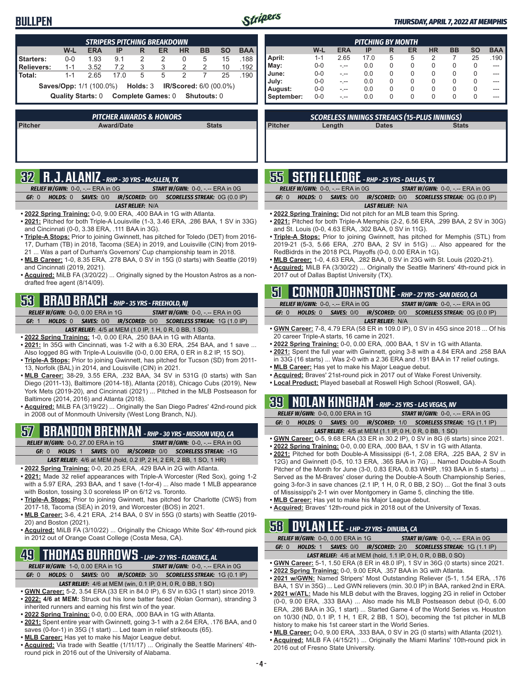### **BULLPEN**



#### *THURSDAY, APRIL 7, 2022 AT MEMPHIS*

| <b>STRIPERS PITCHING BREAKDOWN</b>                        |         |            |      |   |    |           |           |           |            |
|-----------------------------------------------------------|---------|------------|------|---|----|-----------|-----------|-----------|------------|
|                                                           | W-L     | <b>ERA</b> | IP   | R | ER | <b>HR</b> | <b>BB</b> | <b>SO</b> | <b>BAA</b> |
| Starters:                                                 | $0 - 0$ | 1.93       | 9.1  | 2 | 2  | 0         | 5         | 15        | .188       |
| Relievers:                                                | $1 - 1$ | 3.52       | 7.2  | 3 | 3  | 2         |           | 10        | .192       |
| Total:                                                    | $1 - 1$ | 2.65       | 17.0 | 5 | 5  | 2         |           | 25        | .190       |
| Saves/Opp: 1/1 (100.0%) Holds: 3 IR/Scored: 6/0 (00.0%)   |         |            |      |   |    |           |           |           |            |
| Complete Games: 0 Shutouts: 0<br><b>Quality Starts: 0</b> |         |            |      |   |    |           |           |           |            |
|                                                           |         |            |      |   |    |           |           |           |            |
|                                                           |         |            |      |   |    |           |           |           |            |

| PITCHER AWARDS & HONORS' |                   |              |  |  |  |
|--------------------------|-------------------|--------------|--|--|--|
| <b>Pitcher</b>           | <b>Award/Date</b> | <b>Stats</b> |  |  |  |
|                          |                   |              |  |  |  |
|                          |                   |              |  |  |  |
|                          |                   |              |  |  |  |
|                          |                   |              |  |  |  |

# **32 R.J. ALANIZ** *- RHP - 30 YRS - McALLEN, TX*

| <b>RELIEF W/GWN: 0-0, -.-- ERA in 0G</b> |                         | <b>START W/GWN: 0-0, -.-- ERA in 0G</b>                                 |
|------------------------------------------|-------------------------|-------------------------------------------------------------------------|
| GF: 0                                    |                         | <b>HOLDS: 0 SAVES: 0/0 IR/SCORED: 0/0 SCORELESS STREAK: 0G (0.0 IP)</b> |
|                                          | <b>LAST RELIEF: N/A</b> |                                                                         |

- **• 2022 Spring Training:** 0-0, 9.00 ERA, .400 BAA in 1G with Atlanta.
- **• 2021:** Pitched for both Triple-A Louisville (1-3, 3.46 ERA, .286 BAA, 1 SV in 33G) and Cincinnati (0-0, 3.38 ERA, .111 BAA in 3G).
- **• Triple-A Stops:** Prior to joining Gwinnett, has pitched for Toledo (DET) from 2016- 17, Durham (TB) in 2018, Tacoma (SEA) in 2019, and Louisville (CIN) from 2019- 21 ... Was a part of Durham's Governors' Cup championship team in 2018.
- **• MLB Career:** 1-0, 8.35 ERA, .278 BAA, 0 SV in 15G (0 starts) with Seattle (2019) and Cincinnati (2019, 2021).
- **• Acquired:** MiLB FA (3/20/22) ... Originally signed by the Houston Astros as a nondrafted free agent (8/14/09).

# **53 BRAD BRACH** *- RHP - 35 YRS - FREEHOLD, NJ*

*RELIEF W/GWN:*0-0, 0.00 ERA in 1G *START W/GWN:*0-0, -.-- ERA in 0G *GF:*1 *HOLDS:*0 *SAVES:*0/0 *IR/SCORED:*0/0 *SCORELESS STREAK:*1G (1.0 IP)

- *LAST RELIEF:*4/5 at MEM (1.0 IP, 1 H, 0 R, 0 BB, 1 SO)
- **• 2022 Spring Training:** 1-0, 0.00 ERA, .250 BAA in 1G with Atlanta.
- **• 2021:** In 35G with Cincinnati, was 1-2 with a 6.30 ERA, .254 BAA, and 1 save ... Also logged 8G with Triple-A Louisville (0-0, 0.00 ERA, 0 ER in 8.2 IP, 15 SO).
- **• Triple-A Stops:** Prior to joining Gwinnett, has pitched for Tucson (SD) from 2011- 13, Norfolk (BAL) in 2014, and Louisville (CIN) in 2021.
- **• MLB Career:** 38-29, 3.55 ERA, .232 BAA, 34 SV in 531G (0 starts) with San Diego (2011-13), Baltimore (2014-18), Atlanta (2018), Chicago Cubs (2019), New York Mets (2019-20), and Cincinnati (2021) ... Pitched in the MLB Postseason for Baltimore (2014, 2016) and Atlanta (2018).
- **• Acquired:** MiLB FA (3/19/22) ... Originally the San Diego Padres' 42nd-round pick in 2008 out of Monmouth University (West Long Branch, NJ).

# **57 BRANDON BRENNAN** *- RHP - 30 YRS - MISSION VIEJO, CA*

*RELIEF W/GWN:*0-0, 27.00 ERA in 1G *START W/GWN:*0-0, -.-- ERA in 0G *GF:*0 *HOLDS:*1 *SAVES:*0/0 *IR/SCORED:*0/0 *SCORELESS STREAK:*-1G

- *LAST RELIEF:*4/6 at MEM (hold, 0.2 IP, 2 H, 2 ER, 2 BB, 1 SO, 1 HR)
- **• 2022 Spring Training:** 0-0, 20.25 ERA, .429 BAA in 2G with Atlanta.
- **• 2021:** Made 32 relief appearances with Triple-A Worcester (Red Sox), going 1-2 with a 5.97 ERA, .293 BAA, and 1 save (1-for-4) ... Also made 1 MLB appearance with Boston, tossing 3.0 scoreless IP on 6/12 vs. Toronto.
- **• Triple-A Stops:** Prior to joining Gwinnett, has pitched for Charlotte (CWS) from 2017-18, Tacoma (SEA) in 2019, and Worcester (BOS) in 2021.
- **• MLB Career:** 3-6, 4.21 ERA, .214 BAA, 0 SV in 55G (0 starts) with Seattle (2019- 20) and Boston (2021).
- **• Acquired:** MiLB FA (3/10/22) ... Originally the Chicago White Sox' 4th-round pick in 2012 out of Orange Coast College (Costa Mesa, CA).

# **49 THOMAS BURROWS** *- LHP - 27 YRS - FLORENCE, AL*

*RELIEF W/GWN:*1-0, 0.00 ERA in 1G *START W/GWN:*0-0, -.-- ERA in 0G *GF:*0 *HOLDS:*0 *SAVES:*0/0 *IR/SCORED:*3/0 *SCORELESS STREAK:*1G (0.1 IP)

- *LAST RELIEF:*4/6 at MEM (win, 0.1 IP, 0 H, 0 R, 0 BB, 1 SO)
- **• GWN Career:** 5-2, 3.54 ERA (33 ER in 84.0 IP), 6 SV in 63G (1 start) since 2019. **• 2022: 4/6 at MEM:** Struck out his lone batter faced (Nolan Gorman), stranding 3
- inherited runners and earning his first win of the year.
- **• 2022 Spring Training:** 0-0, 0.00 ERA, .000 BAA in 1G with Atlanta.
- **• 2021:** Spent entire year with Gwinnett, going 3-1 with a 2.64 ERA, .176 BAA, and 0 saves (0-for-1) in 35G (1 start) ... Led team in relief strikeouts (65).
- **• MLB Career:** Has yet to make his Major League debut.
- **• Acquired:** Via trade with Seattle (1/11/17) ... Originally the Seattle Mariners' 4thround pick in 2016 out of the University of Alabama.

| <b>PITCHING BY MONTH</b> |         |            |      |   |    |           |           |              |            |  |
|--------------------------|---------|------------|------|---|----|-----------|-----------|--------------|------------|--|
|                          | $W-L$   | <b>ERA</b> | IP   | R | ER | <b>HR</b> | <b>BB</b> | <b>SO</b>    | <b>BAA</b> |  |
| April:                   | $1 - 1$ | 2.65       | 17.0 | 5 | 5  | 2         |           | 25           | .190       |  |
| May:                     | 0-0     | - --       | 0.0  | 0 | 0  | 0         | 0         | <sup>0</sup> | ---        |  |
| June:                    | $0 - 0$ |            | 0.0  | 0 | 0  | 0         | 0         | O            |            |  |
| July:                    | $0 - 0$ |            | 0.0  | 0 | 0  | 0         | 0         | $\Omega$     |            |  |
| August:                  | $0 - 0$ |            | 0.0  | 0 | 0  | 0         | 0         | 0            |            |  |
| September:               | $0 - 0$ | - --       | 0.0  | 0 | 0  | 0         | 0         | 0            | ---        |  |

*SCORELESS INNINGS STREAKS (15-PLUS INNINGS)*

|  |  | <b>SS</b> SETH ELLEDGE - RHP - 25 YRS - DALLAS, TX |  |
|--|--|----------------------------------------------------|--|
|  |  | $\sim$                                             |  |

|       | <b>RELIEF W/GWN:</b> $0-0.$ -.-- ERA in $0G$ |                         | <b>START W/GWN:</b> $0-0$ , $-$ - ERA in $0G$                           |
|-------|----------------------------------------------|-------------------------|-------------------------------------------------------------------------|
| GF: 0 |                                              |                         | <b>HOLDS: 0 SAVES: 0/0 IR/SCORED: 0/0 SCORELESS STREAK: 0G (0.0 IP)</b> |
|       |                                              | <b>LAST RELIEF: N/A</b> |                                                                         |

**• 2022 Spring Training:** Did not pitch for an MLB team this Spring.

**Pitcher Length Dates Stats**

- **• 2021:** Pitched for both Triple-A Memphis (2-2, 6.56 ERA, .299 BAA, 2 SV in 30G) and St. Louis (0-0, 4.63 ERA, .302 BAA, 0 SV in 11G).
- **• Triple-A Stops:** Prior to joining Gwinnett, has pitched for Memphis (STL) from 2019-21 (5-3, 5.66 ERA, .270 BAA, 2 SV in 51G) ... Also appeared for the RedBidrds in the 2018 PCL Playoffs (0-0, 0.00 ERA in 1G).
- **• MLB Career:** 1-0, 4.63 ERA, .282 BAA, 0 SV in 23G with St. Louis (2020-21).
- **• Acquired:** MiLB FA (3/30/22) ... Originally the Seattle Mariners' 4th-round pick in 2017 out of Dallas Baptist University (TX).

### **51 CONNOR JOHNSTONE** *- RHP - 27 YRS - SAN DIEGO, CA RELIEF W/GWN:*0-0, -.-- ERA in 0G *START W/GWN:*0-0, -.-- ERA in 0G

| GF: 0 HOLDS: 0 SAVES: $0/0$ IR/SCORED: $0/0$ SCORELESS STREAK: $0$ G $(0.0 \text{ IP})$ |  |  |  |  |  |  |  |  |
|-----------------------------------------------------------------------------------------|--|--|--|--|--|--|--|--|
| <b>LAST RELIEF: N/A</b>                                                                 |  |  |  |  |  |  |  |  |

- **• GWN Career:** 7-8, 4.79 ERA (58 ER in 109.0 IP), 0 SV in 45G since 2018 ... Of his 20 career Triple-A starts, 16 came in 2021.
- **• 2022 Spring Training:** 0-0, 0.00 ERA, .000 BAA, 1 SV in 1G with Atlanta.
- **• 2021:** Spent the full year with Gwinnett, going 3-8 with a 4.84 ERA and .258 BAA in 33G (16 starts) ... Was 2-0 with a 2.36 ERA and .191 BAA in 17 relief outings. **• MLB Career:** Has yet to make his Major League debut.
- **• Acquired:** Braves' 21st-round pick in 2017 out of Wake Forest University.
- **• Local Product:** Played baseball at Roswell High School (Roswell, GA).

# **39 NOLAN KINGHAM** *- RHP - 25 YRS - LAS VEGAS, NV*

|                   | <b>RELIEF W/GWN: 0-0, 0.00 ERA in 1G</b>                      | <b>START W/GWN: 0-0, -.-- ERA in 0G</b>                        |
|-------------------|---------------------------------------------------------------|----------------------------------------------------------------|
| GF: 0<br>HOLDS: 0 |                                                               | <b>SAVES: 0/0 IR/SCORED: 1/0 SCORELESS STREAK: 1G (1.1 IP)</b> |
|                   | <b>LAST RELIEF:</b> 4/5 at MEM (1.1 IP, 0 H, 0 R, 0 BB, 1 SO) |                                                                |

- **• GWN Career:** 0-5, 9.68 ERA (33 ER in 30.2 IP), 0 SV in 8G (6 starts) since 2021.
- **• 2022 Spring Training:** 0-0, 0.00 ERA, .000 BAA, 1 SV in 1G with Atlanta.
- **• 2021:** Pitched for both Double-A Mississippi (6-1, 2.08 ERA, .225 BAA, 2 SV in 12G) and Gwinnett (0-5, 10.13 ERA, .365 BAA in 7G) ... Named Double-A South Pitcher of the Month for June (3-0, 0.83 ERA, 0.83 WHIP, .193 BAA in 5 starts) ... Served as the M-Braves' closer during the Double-A South Championship Series, going 3-for-3 in save chances (2.1 IP, 1 H, 0 R, 0 BB, 2 SO) ... Got the final 3 outs of Mississippi's 2-1 win over Montgomery in Game 5, clinching the title.
- **• MLB Career:** Has yet to make his Major League debut.
- **• Acquired:** Braves' 12th-round pick in 2018 out of the University of Texas.

# **58 DYLAN LEE** *- LHP - 27 YRS - DINUBA, CA*

|       |          | <b>RELIEF W/GWN: 0-0, 0.00 ERA in 1G</b> | <b>START W/GWN: 0-0, -.-- ERA in 0G</b>                               |  |
|-------|----------|------------------------------------------|-----------------------------------------------------------------------|--|
| GF: 0 | HOLDS: 1 |                                          | <b>SAVES: 0/0 IR/SCORED: 2/0 SCORELESS STREAK: 1G (1.1 IP)</b>        |  |
|       |          |                                          | <b>LAST RELIEF:</b> $4/6$ at MEM (hold, 1.1 IP, 0 H, 0 R, 0 BB, 0 SO) |  |

- **• GWN Career:** 5-1, 1.50 ERA (8 ER in 48.0 IP), 1 SV in 36G (0 starts) since 2021.
- **• 2022 Spring Training:** 0-0, 9.00 ERA, .357 BAA in 3G with Atlanta.
- **• 2021 w/GWN:** Named Stripers' Most Outstanding Reliever (5-1, 1.54 ERA, .176 BAA, 1 SV in 35G) ... Led GWN relievers (min. 30.0 IP) in BAA, ranked 2nd in ERA.
- **• 2021 w/ATL:** Made his MLB debut with the Braves, logging 2G in relief in October (0-0, 9.00 ERA, .333 BAA) ... Also made his MLB Postseason debut (0-0, 6.00 ERA, .286 BAA in 3G, 1 start) ... Started Game 4 of the World Series vs. Houston on 10/30 (ND, 0.1 IP, 1 H, 1 ER, 2 BB, 1 SO), becoming the 1st pitcher in MLB history to make his 1st career start in the World Series.
- **• MLB Career:** 0-0, 9.00 ERA, .333 BAA, 0 SV in 2G (0 starts) with Atlanta (2021). **• Acquired:** MiLB FA (4/15/21) ... Originally the Miami Marlins' 10th-round pick in 2016 out of Fresno State University.

ı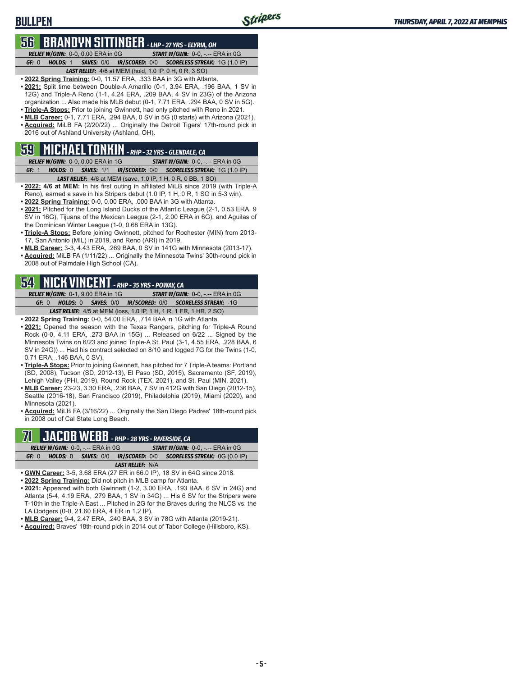### **BULLPEN**

## **56 BRANDYN SITTINGER** *- LHP - 27 YRS - ELYRIA, OH*

*RELIEF W/GWN:*0-0, 0.00 ERA in 0G *START W/GWN:*0-0, -.-- ERA in 0G *GF:*0 *HOLDS:*1 *SAVES:*0/0 *IR/SCORED:*0/0 *SCORELESS STREAK:*1G (1.0 IP)

- *LAST RELIEF:*4/6 at MEM (hold, 1.0 IP, 0 H, 0 R, 3 SO) **• 2022 Spring Training:** 0-0, 11.57 ERA, .333 BAA in 3G with Atlanta.
- **• 2021:** Split time between Double-A Amarillo (0-1, 3.94 ERA, .196 BAA, 1 SV in 12G) and Triple-A Reno (1-1, 4.24 ERA, .209 BAA, 4 SV in 23G) of the Arizona organization ... Also made his MLB debut (0-1, 7.71 ERA, .294 BAA, 0 SV in 5G).
- **• Triple-A Stops:** Prior to joining Gwinnett, had only pitched with Reno in 2021.
- **• MLB Career:** 0-1, 7.71 ERA, .294 BAA, 0 SV in 5G (0 starts) with Arizona (2021). **• Acquired:** MiLB FA (2/20/22) ... Originally the Detroit Tigers' 17th-round pick in 2016 out of Ashland University (Ashland, OH).

### **59 MICHAEL TONKIN** *- RHP - 32 YRS - GLENDALE, CA*

- *RELIEF W/GWN:*0-0, 0.00 ERA in 1G *START W/GWN:*0-0, -.-- ERA in 0G *GF:*1 *HOLDS:*0 *SAVES:*1/1 *IR/SCORED:*0/0 *SCORELESS STREAK:*1G (1.0 IP) *LAST RELIEF:*4/6 at MEM (save, 1.0 IP, 1 H, 0 R, 0 BB, 1 SO)
- **• 2022: 4/6 at MEM:** In his first outing in affiliated MiLB since 2019 (with Triple-A Reno), earned a save in his Stripers debut (1.0 IP, 1 H, 0 R, 1 SO in 5-3 win).
- **• 2022 Spring Training:** 0-0, 0.00 ERA, .000 BAA in 3G with Atlanta.
- **• 2021:** Pitched for the Long Island Ducks of the Atlantic League (2-1, 0.53 ERA, 9 SV in 16G), Tijuana of the Mexican League (2-1, 2.00 ERA in 6G), and Aguilas of the Dominican Winter League (1-0, 0.68 ERA in 13G).
- **• Triple-A Stops:** Before joining Gwinnett, pitched for Rochester (MIN) from 2013- 17, San Antonio (MIL) in 2019, and Reno (ARI) in 2019.
- **• MLB Career:** 3-3, 4.43 ERA, .269 BAA, 0 SV in 141G with Minnesota (2013-17).
- **• Acquired:** MiLB FA (1/11/22) ... Originally the Minnesota Twins' 30th-round pick in 2008 out of Palmdale High School (CA).

### **54 NICK VINCENT** *- RHP - 35 YRS - POWAY, CA*

*RELIEF W/GWN:*0-1, 9.00 ERA in 1G *START W/GWN:*0-0, -.-- ERA in 0G *GF:*0 *HOLDS:*0 *SAVES:*0/0 *IR/SCORED:*0/0 *SCORELESS STREAK:*-1G *LAST RELIEF:*4/5 at MEM (loss, 1.0 IP, 1 H, 1 R, 1 ER, 1 HR, 2 SO)

- **• 2022 Spring Training:** 0-0, 54.00 ERA, .714 BAA in 1G with Atlanta.
- **• 2021:** Opened the season with the Texas Rangers, pitching for Triple-A Round Rock (0-0, 4.11 ERA, .273 BAA in 15G) ... Released on 6/22 ... Signed by the Minnesota Twins on 6/23 and joined Triple-A St. Paul (3-1, 4.55 ERA, .228 BAA, 6 SV in 24G)) ... Had his contract selected on 8/10 and logged 7G for the Twins (1-0, 0.71 ERA, .146 BAA, 0 SV).
- **• Triple-A Stops:** Prior to joining Gwinnett, has pitched for 7 Triple-A teams: Portland (SD, 2008), Tucson (SD, 2012-13), El Paso (SD, 2015), Sacramento (SF, 2019), Lehigh Valley (PHI, 2019), Round Rock (TEX, 2021), and St. Paul (MIN, 2021).
- **• MLB Career:** 23-23, 3.30 ERA, .236 BAA, 7 SV in 412G with San Diego (2012-15), Seattle (2016-18), San Francisco (2019), Philadelphia (2019), Miami (2020), and Minnesota (2021).

**• Acquired:** MiLB FA (3/16/22) ... Originally the San Diego Padres' 18th-round pick in 2008 out of Cal State Long Beach.

### $\mathbf{F}\mathbf{H}\mathbf{B}$  - RHP - 28 YRS - RIVERSIDE, CA *RELIEF W/GWN:*0-0, -.-- ERA in 0G *START W/GWN:*0-0, -.-- ERA in 0G

*GF:*0 *HOLDS:*0 *SAVES:*0/0 *IR/SCORED:*0/0 *SCORELESS STREAK:*0G (0.0 IP) *LAST RELIEF:*N/A

- **• GWN Career:** 3-5, 3.68 ERA (27 ER in 66.0 IP), 18 SV in 64G since 2018.
- **• 2022 Spring Training:** Did not pitch in MLB camp for Atlanta.
- **• 2021:** Appeared with both Gwinnett (1-2, 3.00 ERA, .193 BAA, 6 SV in 24G) and Atlanta (5-4, 4.19 ERA, .279 BAA, 1 SV in 34G) ... His 6 SV for the Stripers were T-10th in the Triple-A East ... Pitched in 2G for the Braves during the NLCS vs. the LA Dodgers (0-0, 21.60 ERA, 4 ER in 1.2 IP).
- **• MLB Career:** 9-4, 2.47 ERA, .240 BAA, 3 SV in 78G with Atlanta (2019-21).
- **• Acquired:** Braves' 18th-round pick in 2014 out of Tabor College (Hillsboro, KS).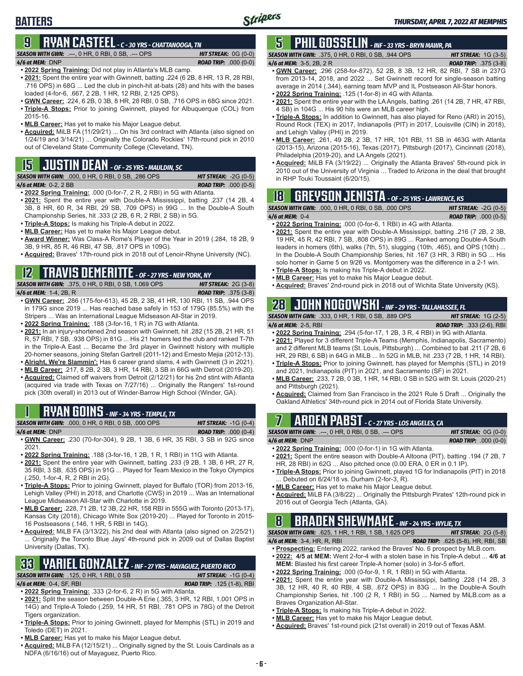### **BATTERS**

### **9 RYAN CASTEEL** *- C - 30 YRS - CHATTANOOGA, TN*

*SEASON WITH GWN:*.---, 0 HR, 0 RBI, 0 SB, .--- OPS *HIT STREAK:* 0G (0-0)

#### *4/6 at MEM:*DNP *ROAD TRIP:* .000 (0-0)

**• 2022 Spring Training:** Did not play in Atlanta's MLB camp.

- **• 2021:** Spent the entire year with Gwinnett, batting .224 (6 2B, 8 HR, 13 R, 28 RBI, .716 OPS) in 68G ... Led the club in pinch-hit at-bats (28) and hits with the bases loaded (4-for-6, .667, 2 2B, 1 HR, 12 RBI, 2.125 OPS).
- **• GWN Career:** .224, 6 2B, 0 3B, 8 HR, 28 RBI, 0 SB, .716 OPS in 68G since 2021. **• Triple-A Stops:** Prior to joining Gwinnett, played for Albuquerque (COL) from 2015-16.
- **• MLB Career:** Has yet to make his Major League debut.
- **• Acquired:** MiLB FA (11/29/21) ... On his 3rd contract with Atlanta (also signed on 1/24/19 and 3/14/21) ... Originally the Colorado Rockies' 17th-round pick in 2010 out of Cleveland State Community College (Cleveland, TN).

# **15 JUSTIN DEAN** *- OF - 25 YRS - MAULDIN, SC*

*SEASON WITH GWN:*.000, 0 HR, 0 RBI, 0 SB, .286 OPS *HIT STREAK:* -2G (0-5)

*4/6 at MEM:*0-2, 2 BB *ROAD TRIP:* .000 (0-5)

- **• 2022 Spring Training:** .000 (0-for-7, 2 R, 2 RBI) in 5G with Atlanta. **• 2021:** Spent the entire year with Double-A Mississippi, batting .237 (14 2B, 4 3B, 8 HR, 60 R, 34 RBI, 29 SB, .709 OPS) in 99G ... In the Double-A South Championship Series, hit .333 (2 2B, 6 R, 2 RBI, 2 SB) in 5G.
- **• Triple-A Stops:** Is making his Triple-A debut in 2022.
- **• MLB Career:** Has yet to make his Major League debut.
- **• Award Winner:** Was Class-A Rome's Player of the Year in 2019 (.284, 18 2B, 9 3B, 9 HR, 85 R, 46 RBI, 47 SB, .817 OPS in 109G).
- **• Acquired:** Braves' 17th-round pick in 2018 out of Lenoir-Rhyne University (NC).

# **12 TRAVIS DEMERITTE** *- OF - 27 YRS - NEW YORK, NY*

*SEASON WITH GWN:*.375, 0 HR, 0 RBI, 0 SB, 1.069 OPS *HIT STREAK:* 2G (3-8) *4/6 at MEM:*1-4, 2B, R *ROAD TRIP:* .375 (3-8)

- **• GWN Career:** .286 (175-for-613), 45 2B, 2 3B, 41 HR, 130 RBI, 11 SB, .944 OPS in 179G since 2019 ... Has reached base safely in 153 of 179G (85.5%) with the Stripers ... Was an International League Midseason All-Star in 2019.
- **• 2022 Spring Training:** .188 (3-for-16, 1 R) in 7G with Atlanta.
- **• 2021:** In an injury-shortened 2nd season with Gwinnett, hit .282 (15 2B, 21 HR, 51 R, 57 RBI, 7 SB, .938 OPS) in 81G ... His 21 homers led the club and ranked T-7th in the Triple-A East ... Became the 3rd player in Gwinnett history with multiple 20-homer seasons, joining Stefan Gartrell (2011-12) and Ernesto Mejia (2012-13).
- **• Alright, We're Slammin':** Has 6 career grand slams, 4 with Gwinnett (3 in 2021). **• MLB Career:** .217, 8 2B, 2 3B, 3 HR, 14 RBI, 3 SB in 66G with Detroit (2019-20).
- **• Acquired:** Claimed off waivers from Detroit (2/12/21) for his 2nd stint with Atlanta (acquired via trade with Texas on 7/27/16) ... Originally the Rangers' 1st-round pick (30th overall) in 2013 out of Winder-Barrow High School (Winder, GA).

# **1 RYAN GOINS** *- INF - 34 YRS - TEMPLE, TX*

|                 | <b>SEASON WITH GWN: .000, 0 HR, 0 RBI, 0 SB, .000 OPS</b> | <b>HIT STREAK:</b> $-1G(0-4)$ |
|-----------------|-----------------------------------------------------------|-------------------------------|
| 4/6 at MEM: DNP |                                                           | <b>ROAD TRIP:</b> $.000(0-4)$ |

- **• GWN Career:** .230 (70-for-304), 9 2B, 1 3B, 6 HR, 35 RBI, 3 SB in 92G since 2021.
- **• 2022 Spring Training:** .188 (3-for-16, 1 2B, 1 R, 1 RBI) in 11G with Atlanta.
- **• 2021:** Spent the entire year with Gwinnett, batting .233 (9 2B, 1 3B, 6 HR, 27 R, 35 RBI, 3 SB, .635 OPS) in 91G ... Played for Team Mexico in the Tokyo Olympics (.250, 1-for-4, R, 2 RBI in 2G).
- **• Triple-A Stops:** Prior to joining Gwinnett, played for Buffalo (TOR) from 2013-16, Lehigh Valley (PHI) in 2018, and Charlotte (CWS) in 2019 ... Was an International League Midseason All-Star with Charlotte in 2019.
- **• MLB Career:** .228, 71 2B, 12 3B, 22 HR, 158 RBI in 555G with Toronto (2013-17), Kansas City (2018), Chicago White Sox (2019-20) ... Played for Toronto in 2015- 16 Postseasons (.146, 1 HR, 5 RBI in 14G).
- **• Acquired:** MiLB FA (3/13/22), his 2nd deal with Atlanta (also signed on 2/25/21) Originally the Toronto Blue Jays' 4th-round pick in 2009 out of Dallas Baptist University (Dallas, TX).

### **33 YARIEL GONZALEZ** *- INF - 27 YRS - MAYAGUEZ, PUERTO RICO SEASON WITH GWN:*.125, 0 HR, 1 RBI, 0 SB *HIT STREAK:* -1G (0-4)

#### *4/6 at MEM:*0-4, SF, RBI *ROAD TRIP:* .125 (1-8), RBI

**• 2022 Spring Training:** .333 (2-for-6, 2 R) in 5G with Atlanta.

- **• 2021:** Split the season between Double-A Erie (.365, 3 HR, 12 RBI, 1.001 OPS in 14G) and Triple-A Toledo (.259, 14 HR, 51 RBI, .781 OPS in 78G) of the Detroit Tigers organization.
- **• Triple-A Stops:** Prior to joining Gwinnett, played for Memphis (STL) in 2019 and Toledo (DET) in 2021.
- **• MLB Career:** Has yet to make his Major League debut.
- **• Acquired:** MiLB FA (12/15/21) ... Originally signed by the St. Louis Cardinals as a NDFA (6/16/16) out of Mayaguez, Puerto Rico.

# **5 PHIL GOSSELIN** *- INF - 33 YRS - BRYN MAWR, PA*

#### *SEASON WITH GWN:*.375, 0 HR, 0 RBI, 0 SB, .944 OPS *HIT STREAK:* 1G (3-5) *4/6 at MEM:*3-5, 2B, 2 R *ROAD TRIP:* .375 (3-8)

- **• GWN Career:** .296 (258-for-872), 52 2B, 8 3B, 12 HR, 82 RBI, 7 SB in 237G from 2013-14, 2018, and 2022 ... Set Gwinnett record for single-season batting average in 2014 (.344), earning team MVP and IL Postseason All-Star honors.
- **• 2022 Spring Training:** .125 (1-for-8) in 4G with Atlanta.
- **• 2021:** Spent the entire year with the LA Angels, batting .261 (14 2B, 7 HR, 47 RBI, 4 SB) in 104G ... His 90 hits were an MLB career high.
- **• Triple-A Stops:** In addition to Gwinnett, has also played for Reno (ARI) in 2015), Round Rock (TEX) in 2017, Indianapolis (PIT) in 2017, Louisville (CIN) in 2018), and Lehigh Valley (PHI) in 2019.
- **• MLB Career:** .261, 49 2B, 2 3B, 17 HR, 101 RBI, 11 SB in 463G with Atlanta (2013-15), Arizona (2015-16), Texas (2017), Pittsburgh (2017), Cincinnati (2018), Philadelphia (2019-20), and LA Angels (2021).
- **• Acquired:** MiLB FA (3/19/22) ... Originally the Atlanta Braves' 5th-round pick in 2010 out of the University of Virginia ... Traded to Arizona in the deal that brought in RHP Touki Toussaint (6/20/15).

### **18 GREYSON JENISTA** *- OF - 25 YRS - LAWRENCE, KS*

| ____              |                                                           |                               |  |
|-------------------|-----------------------------------------------------------|-------------------------------|--|
|                   | <b>SEASON WITH GWN: .000, 0 HR, 0 RBI, 0 SB, .000 OPS</b> | <b>HIT STREAK:</b> $-2G(0-5)$ |  |
| 4/6 at MEM: $0-4$ |                                                           | <b>ROAD TRIP:</b> $.000(0-5)$ |  |

- **• 2022 Spring Training:** .000 (0-for-6, 1 RBI) in 4G with Atlanta.
- **• 2021:** Spent the entire year with Double-A Mississippi, batting .216 (7 2B, 2 3B, 19 HR, 45 R, 42 RBI, 7 SB, .808 OPS) in 89G ... Ranked among Double-A South leaders in homers (6th), walks (7th, 51), slugging (10th, .465), and OPS (10th) ... In the Double-A South Championship Series, hit .167 (3 HR, 3 RBI) in 5G ... His solo homer in Game 5 on 9/26 vs. Montgomery was the difference in a 2-1 win.
- **• Triple-A Stops:** Is making his Triple-A debut in 2022. **• MLB Career:** Has yet to make his Major League debut.
- **• Acquired:** Braves' 2nd-round pick in 2018 out of Wichita State University (KS).

# **28 JOHN NOGOWSKI** *- INF - 29 YRS - TALLAHASSEE, FL*

*SEASON WITH GWN:*.333, 0 HR, 1 RBI, 0 SB, .889 OPS *HIT STREAK:* 1G (2-5) *4/6 at MEM:*2-5, RBI *ROAD TRIP:* .333 (2-6), RBI

- **• 2022 Spring Training:** .294 (5-for-17, 1 2B, 3 R, 4 RBI) in 9G with Atlanta.
- **• 2021:** Played for 3 different Triple-A Teams (Memphis, Indianapolis, Sacramento) and 2 different MLB teams (St. Louis, Pittsburgh) ... Combined to bat .211 (7 2B, 6 HR, 29 RBI, 6 SB) in 64G in MiLB ... In 52G in MLB, hit .233 (7 2B, 1 HR, 14 RBI).
- **• Triple-A Stops:** Prior to joining Gwinnett, has played for Memphis (STL) in 2019 and 2021, Indianapolis (PIT) in 2021, and Sacramento (SF) in 2021.
- **• MLB Career:** .233, 7 2B, 0 3B, 1 HR, 14 RBI, 0 SB in 52G with St. Louis (2020-21) and Pittsburgh (2021).
- **• Acquired:** Claimed from San Francisco in the 2021 Rule 5 Draft ... Originally the Oakland Athletics' 34th-round pick in 2014 out of Florida State University.

## **7 ARDEN PABST** *- C - 27 YRS - LOS ANGELES, CA*

*SEASON WITH GWN:*.---, 0 HR, 0 RBI, 0 SB, .--- OPS *HIT STREAK:* 0G (0-0)

*4/6 at MEM:*DNP *ROAD TRIP:* .000 (0-0) **• 2022 Spring Training:** .000 (0-for-1) in 1G with Atlanta.

- **• 2021:** Spent the entire season with Double-A Altoona (PIT), batting .194 (7 2B, 7 HR, 28 RBI) in 62G ... Also pitched once (0.00 ERA, 0 ER in 0.1 IP).
- **• Triple-A Stops:** Prior to joining Gwinnett, played 1G for Indianapolis (PIT) in 2018 ... Debuted on 6/24/18 vs. Durham (2-for-3, R).
- **• MLB Career:** Has yet to make his Major League debut.
- 2016 out of Georgia Tech (Atlanta, GA).

# **8 BRADEN SHEWMAKE** *- INF - 24 YRS - WYLIE, TX*

*SEASON WITH GWN:*.625, 1 HR, 1 RBI, 1 SB, 1.625 OPS *HIT STREAK:* 2G (5-8) *4/6 at MEM:*3-4, HR, R, RBI *ROAD TRIP:* .625 (5-8), HR, RBI, SB

- **• Prospecting:** Entering 2022, ranked the Braves' No. 6 prospect by MLB.com.
- **• 2022: 4/5 at MEM:** Went 2-for-4 with a stolen base in his Triple-A debut ... **4/6 at MEM:** Blasted his first career Triple-A homer (solo) in 3-for-5 effort.
- **• 2022 Spring Training:** .000 (0-for-9, 1 R, 1 RBI) in 5G with Atlanta.
- **• 2021:** Spent the entire year with Double-A Mississippi, batting .228 (14 2B, 3 3B, 12 HR, 40 R, 40 RBI, 4 SB, .672 OPS) in 83G ... In the Double-A South Championship Series, hit .100 (2 R, 1 RBI) in 5G ... Named by MiLB.com as a Braves Organization All-Star.
- **• Triple-A Stops:** Is making his Triple-A debut in 2022.
- **• MLB Career:** Has yet to make his Major League debut.
- **• Acquired:** Braves' 1st-round pick (21st overall) in 2019 out of Texas A&M.
- 
- 
- 

- 
- 
- **• Acquired:** MiLB FA (3/8/22) ... Originally the Pittsburgh Pirates' 12th-round pick in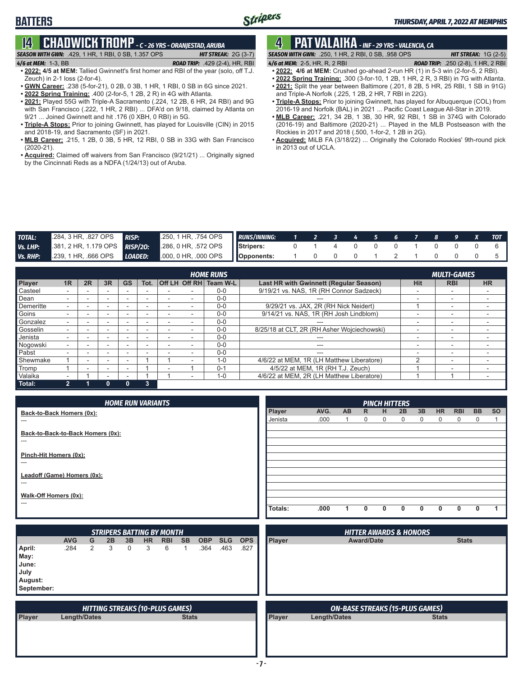# **14 CHADWICK TROMP** *- C - 26 YRS - ORANJESTAD, ARUBA*

### *SEASON WITH GWN:*.429, 1 HR, 1 RBI, 0 SB, 1.357 OPS *HIT STREAK:* 2G (3-7)

**BATTERS**

*4/6 at MEM:*1-3, BB *ROAD TRIP:* .429 (2-4), HR, RBI **• 2022: 4/5 at MEM:** Tallied Gwinnett's first homer and RBI of the year (solo, off T.J.

- Zeuch) in 2-1 loss (2-for-4). **• GWN Career:** .238 (5-for-21), 0 2B, 0 3B, 1 HR, 1 RBI, 0 SB in 6G since 2021.
- **• 2022 Spring Training:** .400 (2-for-5, 1 2B, 2 R) in 4G with Atlanta.
- **• 2021:** Played 55G with Triple-A Sacramento (.224, 12 2B, 6 HR, 24 RBI) and 9G with San Francisco (.222, 1 HR, 2 RBI) ... DFA'd on 9/18, claimed by Atlanta on 9/21 ... Joined Gwinnett and hit .176 (0 XBH, 0 RBI) in 5G.
- **• Triple-A Stops:** Prior to joining Gwinnett, has played for Louisville (CIN) in 2015 and 2018-19, and Sacramento (SF) in 2021.
- **• MLB Career:** .215, 1 2B, 0 3B, 5 HR, 12 RBI, 0 SB in 33G with San Francisco (2020-21).
- **• Acquired:** Claimed off waivers from San Francisco (9/21/21) ... Originally signed by the Cincinnati Reds as a NDFA (1/24/13) out of Aruba.

# **4 PAT VALAIKA** *- INF - 29 YRS - VALENCIA, CA*

*SEASON WITH GWN:*.250, 1 HR, 2 RBI, 0 SB, .958 OPS *HIT STREAK:* 1G (2-5) *4/6 at MEM:*2-5, HR, R, 2 RBI *ROAD TRIP:* .250 (2-8), 1 HR, 2 RBI

**• 2022: 4/6 at MEM:** Crushed go-ahead 2-run HR (1) in 5-3 win (2-for-5, 2 RBI).

- **• 2022 Spring Training:** .300 (3-for-10, 1 2B, 1 HR, 2 R, 3 RBI) in 7G with Atlanta. **• 2021:** Split the year between Baltimore (.201, 8 2B, 5 HR, 25 RBI, 1 SB in 91G) and Triple-A Norfolk (.225, 1 2B, 2 HR, 7 RBI in 22G).
- **• Triple-A Stops:** Prior to joining Gwinnett, has played for Albuquerque (COL) from 2016-19 and Norfolk (BAL) in 2021 ... Pacific Coast League All-Star in 2019.
- **• MLB Career:** .221, 34 2B, 1 3B, 30 HR, 92 RBI, 1 SB in 374G with Colorado (2016-19) and Baltimore (2020-21) ... Played in the MLB Postseason with the Rockies in 2017 and 2018 (.500, 1-for-2, 1 2B in 2G).
- **• Acquired:** MiLB FA (3/18/22) ... Originally the Colorado Rockies' 9th-round pick in 2013 out of UCLA.

| <b>TOTAL:</b> | 284, 3 HR, 827 OPS | <b>RISP:</b> | 250,1 HR, 754 OPS RUNS/INNING: 1 2 3 4 5 6 7 8 9 X TOT                                       |  |                   |  |  |  |                   |
|---------------|--------------------|--------------|----------------------------------------------------------------------------------------------|--|-------------------|--|--|--|-------------------|
| Vs. LHP:      |                    |              | 381, 2 HR, 1.179 OPS <b>RISP/20:</b> 286, 0 HR, 572 OPS <b>S</b> Stripers: 0 1 4 0 0 0 1 0 0 |  |                   |  |  |  | $0\quad 6\quad 1$ |
| Vs. RHP:      |                    |              | 239, 1 HR, .666 OPS LOADED: 000, 0 HR, .000 OPS Opponents:                                   |  | 1 0 0 0 1 2 1 0 0 |  |  |  | $0 \quad 5 \quad$ |

| <b>HOME RUNS</b> |    |    |        |    |      |  |  |                        | <b>MULTI-GAMES</b>                          |            |                          |           |  |
|------------------|----|----|--------|----|------|--|--|------------------------|---------------------------------------------|------------|--------------------------|-----------|--|
| <b>Player</b>    | 1R | 2R | 3R     | GS | Tot. |  |  | Off LH Off RH Team W-L | Last HR with Gwinnett (Regular Season)      | <b>Hit</b> | <b>RBI</b>               | <b>HR</b> |  |
| Casteel          |    |    |        |    |      |  |  | $0 - 0$                | 9/19/21 vs. NAS, 1R (RH Connor Sadzeck)     |            | -                        |           |  |
| Dean             |    |    | $\sim$ |    |      |  |  | $0 - 0$                |                                             |            | -                        |           |  |
| Demeritte        |    |    |        |    | -    |  |  | $0 - 0$                | 9/29/21 vs. JAX, 2R (RH Nick Neidert)       |            | $\overline{\phantom{0}}$ |           |  |
| Goins            |    |    | -      |    |      |  |  | $0 - 0$                | 9/14/21 vs. NAS, 1R (RH Josh Lindblom)      |            | $\overline{\phantom{0}}$ |           |  |
| Gonzalez         |    |    | -      |    |      |  |  | $0 - 0$                | ---                                         | -          | $\overline{\phantom{0}}$ |           |  |
| Gosselin         |    |    | -      |    |      |  |  | $0 - 0$                | 8/25/18 at CLT, 2R (RH Asher Wojciechowski) |            | -                        |           |  |
| Jenista          |    |    | -      |    |      |  |  | $0 - 0$                |                                             | -          | -                        |           |  |
| Nogowski         |    |    | ۰.     |    | -    |  |  | $0 - 0$                | ---                                         | -          | $\overline{\phantom{0}}$ |           |  |
| Pabst            |    | -  | -      |    |      |  |  | $0 - 0$                | ---                                         |            | $\overline{\phantom{a}}$ |           |  |
| Shewmake         |    | -  | -      |    |      |  |  | $1 - 0$                | 4/6/22 at MEM, 1R (LH Matthew Liberatore)   |            | -                        |           |  |
| Tromp            |    |    |        |    |      |  |  | $0 - 1$                | 4/5/22 at MEM, 1R (RH T.J. Zeuch)           |            | $\overline{\phantom{0}}$ |           |  |
| Valaika          |    |    |        |    |      |  |  | $1 - 0$                | 4/6/22 at MEM. 2R (LH Matthew Liberatore)   |            |                          |           |  |
| Total:           | 2  |    |        |    | 3    |  |  |                        |                                             |            |                          |           |  |

| <b>HOME RUN VARIANTS</b>                   |         |      |     |              | <b>PINCH HITTERS</b> |              |              |                |            |             |           |
|--------------------------------------------|---------|------|-----|--------------|----------------------|--------------|--------------|----------------|------------|-------------|-----------|
| Back-to-Back Homers (0x):                  | Player  | AVG. | AB. | $\mathsf{R}$ | H                    | 2B           | 3B           | H <sub>R</sub> | <b>RBI</b> | <b>BB</b>   | <b>SO</b> |
| $---$                                      | Jenista | .000 |     | 0            | 0                    | $\Omega$     | $\mathbf{0}$ | $\mathbf 0$    | $\Omega$   | $\mathbf 0$ |           |
| Back-to-Back-to-Back Homers (0x):<br>$---$ |         |      |     |              |                      |              |              |                |            |             |           |
|                                            |         |      |     |              |                      |              |              |                |            |             |           |
| Pinch-Hit Homers (0x):<br>$---$            |         |      |     |              |                      |              |              |                |            |             |           |
| Leadoff (Game) Homers (0x):                |         |      |     |              |                      |              |              |                |            |             |           |
| ---                                        |         |      |     |              |                      |              |              |                |            |             |           |
| Walk-Off Homers (0x):                      |         |      |     |              |                      |              |              |                |            |             |           |
| $---$                                      |         |      |     |              |                      |              |              |                |            |             |           |
|                                            | Totals: | .000 |     | $\mathbf{0}$ | 0                    | <sup>0</sup> | 0            | 0              |            | 0           |           |

|                                                          | <b>STRIPERS BATTING BY MONTH</b> |   |    |    |           |                                        |              |            |            | <b>HITTER AWARDS &amp; HONORS</b> |               |                                        |              |
|----------------------------------------------------------|----------------------------------|---|----|----|-----------|----------------------------------------|--------------|------------|------------|-----------------------------------|---------------|----------------------------------------|--------------|
|                                                          | <b>AVG</b>                       | G | 2B | 3B | <b>HR</b> | <b>RBI</b>                             | <b>SB</b>    | <b>OBP</b> | <b>SLG</b> | <b>OPS</b>                        | Player        | <b>Award/Date</b>                      | <b>Stats</b> |
| April:<br>May:<br>June:<br>July<br>August:<br>September: | .284                             | 2 | 3  | 0  | 3         | 6                                      |              | .364       | .463       | .827                              |               |                                        |              |
|                                                          |                                  |   |    |    |           | <b>HITTING STREAKS (10-PLUS GAMES)</b> |              |            |            |                                   |               | <b>ON-BASE STREAKS (15-PLUS GAMES)</b> |              |
| Player                                                   | Length/Dates                     |   |    |    |           |                                        | <b>Stats</b> |            |            |                                   | <b>Player</b> | <b>Length/Dates</b>                    | <b>Stats</b> |
|                                                          |                                  |   |    |    |           |                                        |              |            |            |                                   |               |                                        |              |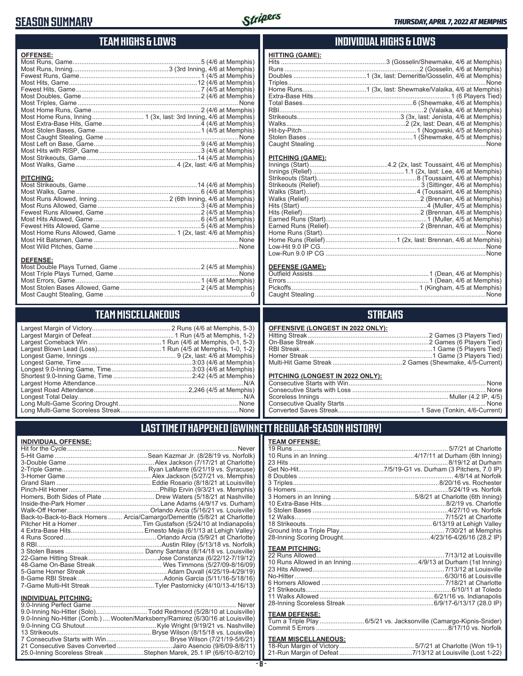### **SEASON SUMMARY**



### **TEAM HIGHS & LOWS**

| <b>OFFENSE:</b>  |                         |
|------------------|-------------------------|
|                  |                         |
|                  |                         |
|                  |                         |
|                  |                         |
|                  |                         |
|                  |                         |
|                  |                         |
|                  |                         |
|                  |                         |
|                  |                         |
|                  |                         |
|                  |                         |
|                  |                         |
|                  |                         |
|                  |                         |
|                  |                         |
|                  |                         |
| <b>PITCHING:</b> |                         |
|                  |                         |
|                  |                         |
|                  |                         |
|                  |                         |
|                  |                         |
|                  |                         |
|                  | Equat Hite Allowed Came |

#### Fewest Hits Allowed, Game ........................................................5 (4/6 at Memphis) Most Home Runs Allowed, Game ................................. 1 (2x, last: 4/6 at Memphis) Most Hit Batsmen, Game ................................................................................. None Most Wild Pitches, Game ................................................................................. None **DEFENSE:**

### **TEAM MISCELLANEOUS**

### **INDIVIDUAL HIGHS & LOWS**

| FIIIING (GAME). |  |
|-----------------|--|
|                 |  |
|                 |  |
|                 |  |
|                 |  |
|                 |  |
|                 |  |
|                 |  |
|                 |  |
|                 |  |
|                 |  |
|                 |  |
|                 |  |
|                 |  |
|                 |  |

#### **PITCHING (GAME):**

**HITTING (GAME):**

#### **DEFENSE (GAME):**

### **STREAKS**

|  | OFFENSIVE (LONGEST IN 2022 ONLY): |  |  |
|--|-----------------------------------|--|--|
|--|-----------------------------------|--|--|

#### **PITCHING (LONGEST IN 2022 ONLY):**

19 Runs ....................................................................................... 5/7/21 at Charlotte 10 Runs in an Inning.................................................4/17/11 at Durham (6th Inning) 23 Hits .........................................................................................8/19/12 at Durham Get No-Hit................................................7/5/19-G1 vs. Durham (3 Pitchers, 7.0 IP) 8 Doubles ....................................................................................... 4/8/14 at Norfolk 3 Triples..................................................................................8/20/16 vs. Rochester 6 Homers.....................................................................................5/24/19 vs. Norfolk 3 Homers in an Inning ..............................................5/8/21 at Charlotte (6th Inning) 10 Extra-Base Hits......................................................................8/2/19 vs. Charlotte 5 Stolen Bases ............................................................................4/27/10 vs. Norfolk 12 Walks.................................................................................... 7/15/21 at Charlotte 18 Strikeouts....................................................................... 6/13/19 at Lehigh Valley Ground Into a Triple Play........................................................... 7/30/21 at Memphis 28-Inning Scoring Drought.................................................4/23/16-4/26/16 (28.2 IP)

### **LAST TIME IT HAPPENED (GWINNETT REGULAR-SEASON HISTORY)**

**TEAM OFFENSE:**

**TEAM PITCHING:**

#### **INDIVIDUAL OFFENSE:**

|                             | . Never                                                                    |
|-----------------------------|----------------------------------------------------------------------------|
|                             |                                                                            |
|                             |                                                                            |
|                             |                                                                            |
|                             |                                                                            |
|                             |                                                                            |
|                             |                                                                            |
|                             | Homers, Both Sides of Plate Drew Waters (5/18/21 at Nashville)             |
|                             |                                                                            |
|                             |                                                                            |
|                             | Back-to-Back-to-Back Homers  Arcia/Camargo/Demeritte (5/8/21 at Charlotte) |
|                             |                                                                            |
|                             |                                                                            |
|                             |                                                                            |
|                             |                                                                            |
|                             |                                                                            |
|                             |                                                                            |
|                             |                                                                            |
|                             |                                                                            |
|                             |                                                                            |
|                             |                                                                            |
| <b>INDIVIDUAL PITCHING:</b> |                                                                            |
|                             |                                                                            |

| 9.0-Inning No-Hitter (Comb.) Wooten/Marksberry/Ramirez (6/30/16 at Louisville) |  |
|--------------------------------------------------------------------------------|--|
|                                                                                |  |
|                                                                                |  |
|                                                                                |  |
| 21 Consecutive Saves Converted Jairo Asencio (9/6/09-8/8/11)                   |  |
| 25.0-Inning Scoreless Streak Stephen Marek, 25.1 IP (6/6/10-8/2/10)            |  |

# **TE**<br>18-

**TE**<br>Tu

| <b>TEAM DEFENSE:</b>       | Turn a Triple Play 6/5/21 vs. Jacksonville (Camargo-Kipnis-Snider) |
|----------------------------|--------------------------------------------------------------------|
| <b>TEAM MISCELLANEOUS:</b> |                                                                    |
|                            |                                                                    |
|                            |                                                                    |

22 Runs Allowed........................................................................7/13/12 at Louisville 10 Runs Allowed in an Inning .....................................4/9/13 at Durham (1st Inning) 23 Hits Allowed ..........................................................................7/13/12 at Louisville No-Hitter ....................................................................................6/30/16 at Louisville 6 Homers Allowed ..................................................................... 7/18/21 at Charlotte 21 Strikeouts..................................................................................6/10/11 at Toledo 11 Walks Allowed ................................................................6/21/16 vs. Indianapolis 28-Inning Scoreless Streak .................................................6/9/17-6/13/17 (28.0 IP)